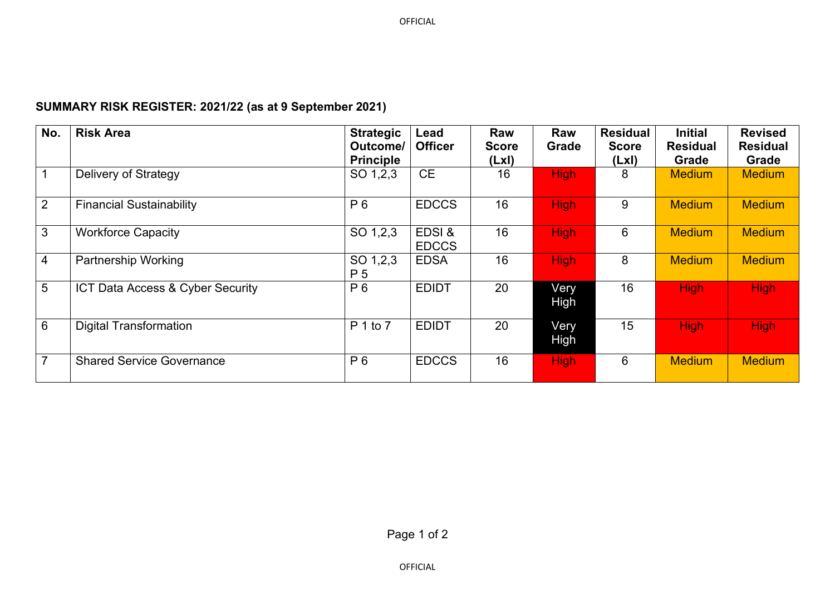## **SUMMARY RISK REGISTER: 2021/22 (as at 9 September 2021)**

| No.            | <b>Risk Area</b>                 | <b>Strategic</b><br>Outcome/<br><b>Principle</b> | Lead<br><b>Officer</b> | <b>Raw</b><br><b>Score</b><br>(Lx) | Raw<br>Grade        | <b>Residual</b><br><b>Score</b><br>(LxI) | <b>Initial</b><br><b>Residual</b><br>Grade | <b>Revised</b><br><b>Residual</b><br><b>Grade</b> |
|----------------|----------------------------------|--------------------------------------------------|------------------------|------------------------------------|---------------------|------------------------------------------|--------------------------------------------|---------------------------------------------------|
|                | Delivery of Strategy             | SO 1,2,3                                         | <b>CE</b>              | 16                                 | <b>High</b>         | 8                                        | <b>Medium</b>                              | <b>Medium</b>                                     |
| $\overline{2}$ | <b>Financial Sustainability</b>  | P <sub>6</sub>                                   | <b>EDCCS</b>           | 16                                 | <b>High</b>         | 9                                        | <b>Medium</b>                              | <b>Medium</b>                                     |
| 3              | <b>Workforce Capacity</b>        | SO 1,2,3                                         | EDSI &<br><b>EDCCS</b> | 16                                 | <b>High</b>         | 6                                        | <b>Medium</b>                              | <b>Medium</b>                                     |
| 4              | <b>Partnership Working</b>       | SO 1,2,3<br>P <sub>5</sub>                       | <b>EDSA</b>            | 16                                 | <b>High</b>         | 8                                        | <b>Medium</b>                              | <b>Medium</b>                                     |
| 5              | ICT Data Access & Cyber Security | P <sub>6</sub>                                   | <b>EDIDT</b>           | 20                                 | Very<br>High        | 16                                       | <b>High</b>                                | <b>High</b>                                       |
| 6              | <b>Digital Transformation</b>    | P 1 to 7                                         | <b>EDIDT</b>           | 20                                 | Very<br><b>High</b> | 15                                       | <b>High</b>                                | <b>High</b>                                       |
| $\overline{7}$ | <b>Shared Service Governance</b> | P <sub>6</sub>                                   | <b>EDCCS</b>           | 16                                 | <b>High</b>         | 6                                        | <b>Medium</b>                              | <b>Medium</b>                                     |